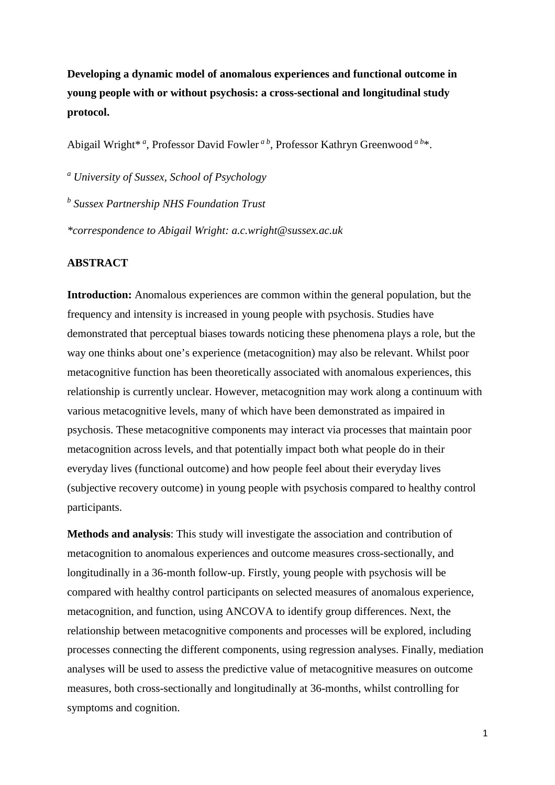**Developing a dynamic model of anomalous experiences and functional outcome in young people with or without psychosis: a cross-sectional and longitudinal study protocol.** 

Abigail Wright\* *<sup>a</sup>* , Professor David Fowler *a b*, Professor Kathryn Greenwood *a b*\*.

*<sup>a</sup> University of Sussex, School of Psychology*

*<sup>b</sup> Sussex Partnership NHS Foundation Trust* 

*\*correspondence to Abigail Wright: a.c.wright@sussex.ac.uk*

# **ABSTRACT**

**Introduction:** Anomalous experiences are common within the general population, but the frequency and intensity is increased in young people with psychosis. Studies have demonstrated that perceptual biases towards noticing these phenomena plays a role, but the way one thinks about one's experience (metacognition) may also be relevant. Whilst poor metacognitive function has been theoretically associated with anomalous experiences, this relationship is currently unclear. However, metacognition may work along a continuum with various metacognitive levels, many of which have been demonstrated as impaired in psychosis. These metacognitive components may interact via processes that maintain poor metacognition across levels, and that potentially impact both what people do in their everyday lives (functional outcome) and how people feel about their everyday lives (subjective recovery outcome) in young people with psychosis compared to healthy control participants.

**Methods and analysis**: This study will investigate the association and contribution of metacognition to anomalous experiences and outcome measures cross-sectionally, and longitudinally in a 36-month follow-up. Firstly, young people with psychosis will be compared with healthy control participants on selected measures of anomalous experience, metacognition, and function, using ANCOVA to identify group differences. Next, the relationship between metacognitive components and processes will be explored, including processes connecting the different components, using regression analyses. Finally, mediation analyses will be used to assess the predictive value of metacognitive measures on outcome measures, both cross-sectionally and longitudinally at 36-months, whilst controlling for symptoms and cognition.

1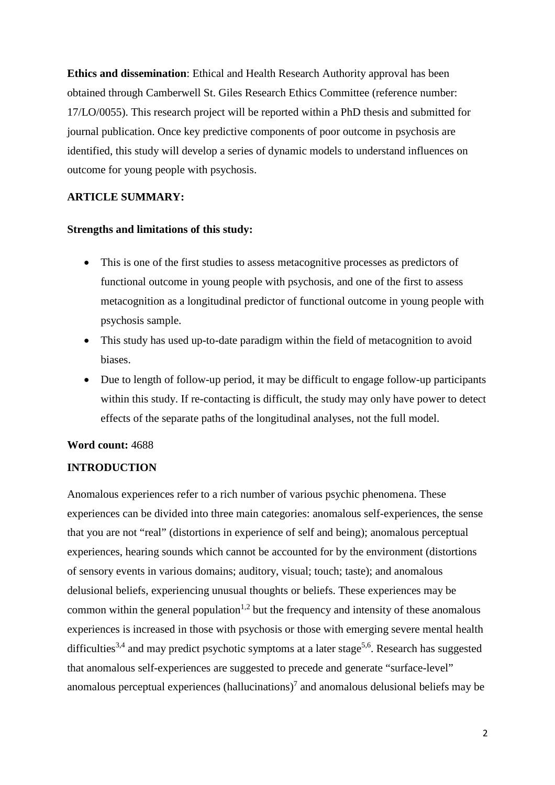**Ethics and dissemination**: Ethical and Health Research Authority approval has been obtained through Camberwell St. Giles Research Ethics Committee (reference number: 17/LO/0055). This research project will be reported within a PhD thesis and submitted for journal publication. Once key predictive components of poor outcome in psychosis are identified, this study will develop a series of dynamic models to understand influences on outcome for young people with psychosis.

# **ARTICLE SUMMARY:**

# **Strengths and limitations of this study:**

- This is one of the first studies to assess metacognitive processes as predictors of functional outcome in young people with psychosis, and one of the first to assess metacognition as a longitudinal predictor of functional outcome in young people with psychosis sample.
- This study has used up-to-date paradigm within the field of metacognition to avoid biases.
- Due to length of follow-up period, it may be difficult to engage follow-up participants within this study. If re-contacting is difficult, the study may only have power to detect effects of the separate paths of the longitudinal analyses, not the full model.

# **Word count:** 4688

# **INTRODUCTION**

Anomalous experiences refer to a rich number of various psychic phenomena. These experiences can be divided into three main categories: anomalous self-experiences, the sense that you are not "real" (distortions in experience of self and being); anomalous perceptual experiences, hearing sounds which cannot be accounted for by the environment (distortions of sensory events in various domains; auditory, visual; touch; taste); and anomalous delusional beliefs, experiencing unusual thoughts or beliefs. These experiences may be common within the general population<sup>1,2</sup> but the frequency and intensity of these anomalous experiences is increased in those with psychosis or those with emerging severe mental health difficulties<sup>3,4</sup> and may predict psychotic symptoms at a later stage<sup>5,6</sup>. Research has suggested that anomalous self-experiences are suggested to precede and generate "surface-level" anomalous perceptual experiences (hallucinations)<sup>7</sup> and anomalous delusional beliefs may be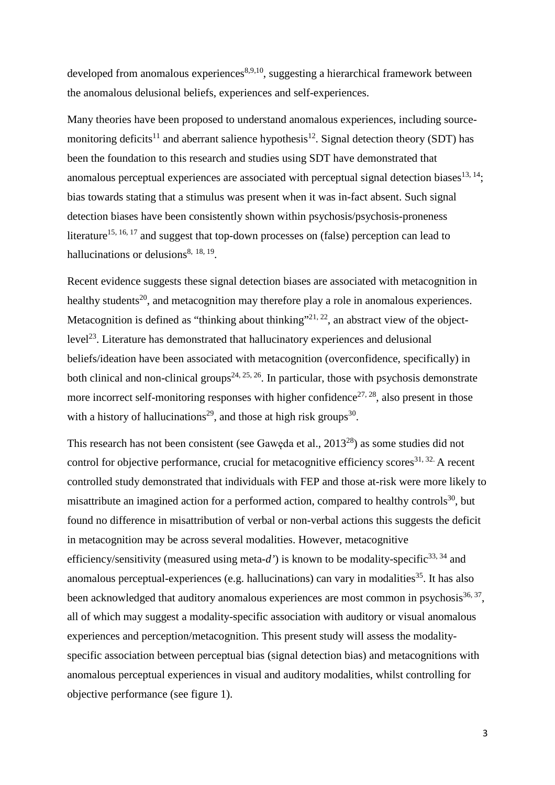developed from anomalous experiences<sup>8,9,10</sup>, suggesting a hierarchical framework between the anomalous delusional beliefs, experiences and self-experiences.

Many theories have been proposed to understand anomalous experiences, including sourcemonitoring deficits<sup>11</sup> and aberrant salience hypothesis<sup>12</sup>. Signal detection theory (SDT) has been the foundation to this research and studies using SDT have demonstrated that anomalous perceptual experiences are associated with perceptual signal detection biases  $13, 14$ ; bias towards stating that a stimulus was present when it was in-fact absent. Such signal detection biases have been consistently shown within psychosis/psychosis-proneness literature<sup>15, 16, 17</sup> and suggest that top-down processes on (false) perception can lead to hallucinations or delusions $8, 18, 19$ .

Recent evidence suggests these signal detection biases are associated with metacognition in healthy students<sup>20</sup>, and metacognition may therefore play a role in anomalous experiences. Metacognition is defined as "thinking about thinking"<sup>21, 22</sup>, an abstract view of the objectlevel23. Literature has demonstrated that hallucinatory experiences and delusional beliefs/ideation have been associated with metacognition (overconfidence, specifically) in both clinical and non-clinical groups<sup>24, 25, 26</sup>. In particular, those with psychosis demonstrate more incorrect self-monitoring responses with higher confidence<sup>27, 28</sup>, also present in those with a history of hallucinations<sup>29</sup>, and those at high risk groups<sup>30</sup>.

This research has not been consistent (see Gawęda et al., 201328) as some studies did not control for objective performance, crucial for metacognitive efficiency scores<sup>31, 32.</sup> A recent controlled study demonstrated that individuals with FEP and those at-risk were more likely to misattribute an imagined action for a performed action, compared to healthy controls<sup>30</sup>, but found no difference in misattribution of verbal or non-verbal actions this suggests the deficit in metacognition may be across several modalities. However, metacognitive efficiency/sensitivity (measured using meta-d') is known to be modality-specific<sup>33, 34</sup> and anomalous perceptual-experiences (e.g. hallucinations) can vary in modalities<sup>35</sup>. It has also been acknowledged that auditory anomalous experiences are most common in psychosis $36, 37$ , all of which may suggest a modality-specific association with auditory or visual anomalous experiences and perception/metacognition. This present study will assess the modalityspecific association between perceptual bias (signal detection bias) and metacognitions with anomalous perceptual experiences in visual and auditory modalities, whilst controlling for objective performance (see figure 1).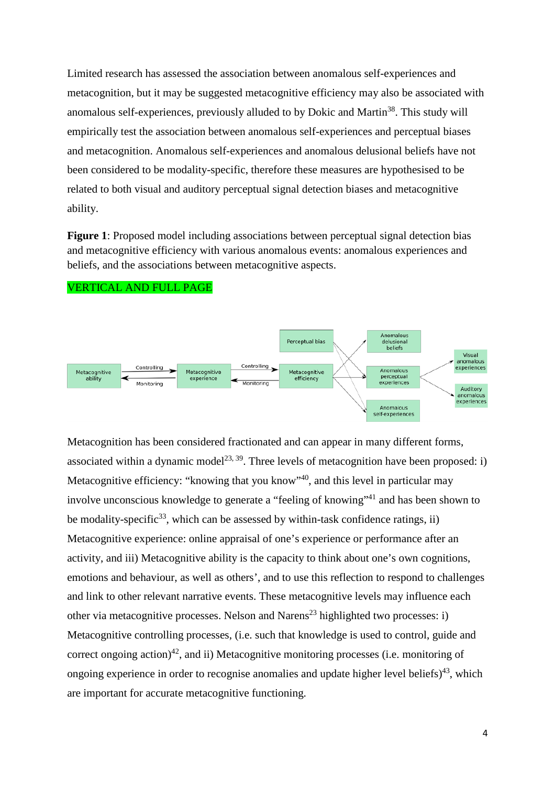Limited research has assessed the association between anomalous self-experiences and metacognition, but it may be suggested metacognitive efficiency may also be associated with anomalous self-experiences, previously alluded to by Dokic and Martin<sup>38</sup>. This study will empirically test the association between anomalous self-experiences and perceptual biases and metacognition. Anomalous self-experiences and anomalous delusional beliefs have not been considered to be modality-specific, therefore these measures are hypothesised to be related to both visual and auditory perceptual signal detection biases and metacognitive ability.

**Figure 1**: Proposed model including associations between perceptual signal detection bias and metacognitive efficiency with various anomalous events: anomalous experiences and beliefs, and the associations between metacognitive aspects.



VERTICAL AND FULL PAGE

Metacognition has been considered fractionated and can appear in many different forms, associated within a dynamic model<sup>23, 39</sup>. Three levels of metacognition have been proposed: i) Metacognitive efficiency: "knowing that you know"<sup>40</sup>, and this level in particular may involve unconscious knowledge to generate a "feeling of knowing"<sup>41</sup> and has been shown to be modality-specific<sup>33</sup>, which can be assessed by within-task confidence ratings, ii) Metacognitive experience: online appraisal of one's experience or performance after an activity, and iii) Metacognitive ability is the capacity to think about one's own cognitions, emotions and behaviour, as well as others', and to use this reflection to respond to challenges and link to other relevant narrative events. These metacognitive levels may influence each other via metacognitive processes. Nelson and Narens<sup>23</sup> highlighted two processes: i) Metacognitive controlling processes, (i.e. such that knowledge is used to control, guide and correct ongoing action)<sup>42</sup>, and ii) Metacognitive monitoring processes (i.e. monitoring of ongoing experience in order to recognise anomalies and update higher level beliefs)<sup>43</sup>, which are important for accurate metacognitive functioning.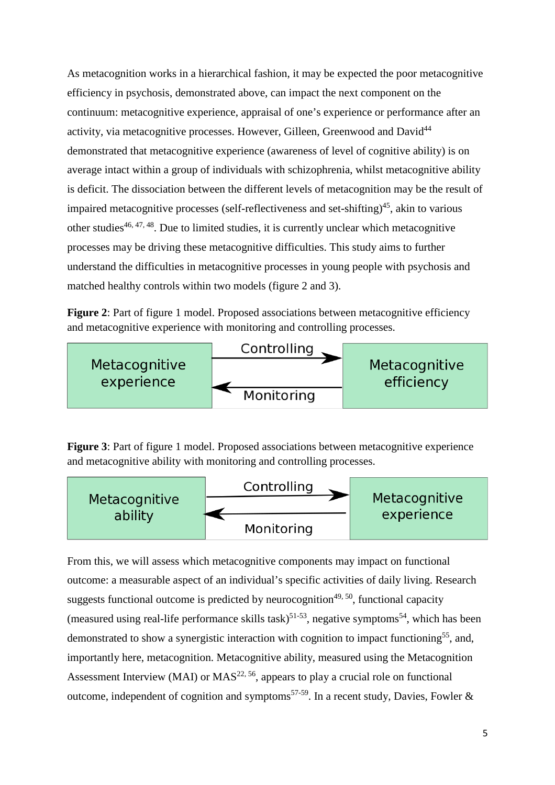As metacognition works in a hierarchical fashion, it may be expected the poor metacognitive efficiency in psychosis, demonstrated above, can impact the next component on the continuum: metacognitive experience, appraisal of one's experience or performance after an activity, via metacognitive processes. However, Gilleen, Greenwood and David<sup>44</sup> demonstrated that metacognitive experience (awareness of level of cognitive ability) is on average intact within a group of individuals with schizophrenia, whilst metacognitive ability is deficit. The dissociation between the different levels of metacognition may be the result of impaired metacognitive processes (self-reflectiveness and set-shifting)<sup>45</sup>, akin to various other studies $46, 47, 48$ . Due to limited studies, it is currently unclear which metacognitive processes may be driving these metacognitive difficulties. This study aims to further understand the difficulties in metacognitive processes in young people with psychosis and matched healthy controls within two models (figure 2 and 3).

**Figure 2**: Part of figure 1 model. Proposed associations between metacognitive efficiency and metacognitive experience with monitoring and controlling processes.



**Figure 3**: Part of figure 1 model. Proposed associations between metacognitive experience and metacognitive ability with monitoring and controlling processes.



From this, we will assess which metacognitive components may impact on functional outcome: a measurable aspect of an individual's specific activities of daily living. Research suggests functional outcome is predicted by neurocognition<sup> $49, 50$ </sup>, functional capacity (measured using real-life performance skills task)<sup>51-53</sup>, negative symptoms<sup>54</sup>, which has been demonstrated to show a synergistic interaction with cognition to impact functioning<sup>55</sup>, and, importantly here, metacognition. Metacognitive ability, measured using the Metacognition Assessment Interview (MAI) or  $MAS^{22, 56}$ , appears to play a crucial role on functional outcome, independent of cognition and symptoms<sup>57-59</sup>. In a recent study, Davies, Fowler &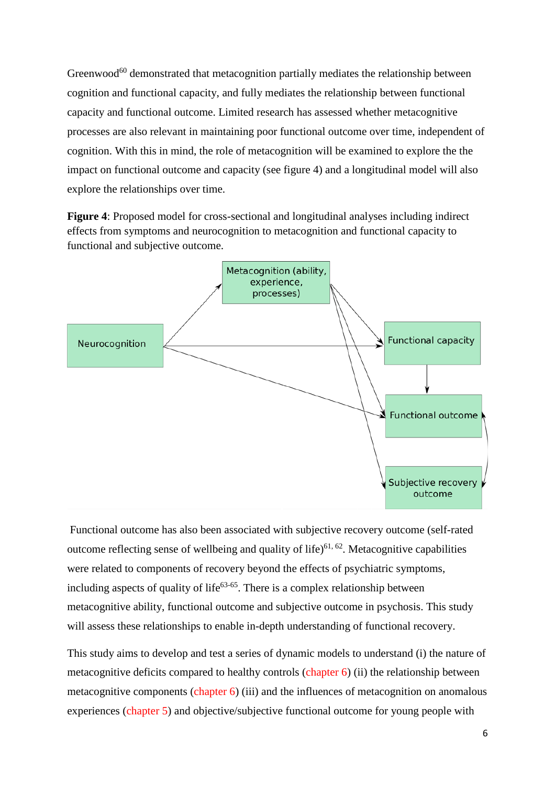Greenwood $^{60}$  demonstrated that metacognition partially mediates the relationship between cognition and functional capacity, and fully mediates the relationship between functional capacity and functional outcome. Limited research has assessed whether metacognitive processes are also relevant in maintaining poor functional outcome over time, independent of cognition. With this in mind, the role of metacognition will be examined to explore the the impact on functional outcome and capacity (see figure 4) and a longitudinal model will also explore the relationships over time.

**Figure 4**: Proposed model for cross-sectional and longitudinal analyses including indirect effects from symptoms and neurocognition to metacognition and functional capacity to functional and subjective outcome.



Functional outcome has also been associated with subjective recovery outcome (self-rated outcome reflecting sense of wellbeing and quality of life)<sup> $61, 62$ </sup>. Metacognitive capabilities were related to components of recovery beyond the effects of psychiatric symptoms, including aspects of quality of life<sup>63-65</sup>. There is a complex relationship between metacognitive ability, functional outcome and subjective outcome in psychosis. This study will assess these relationships to enable in-depth understanding of functional recovery.

This study aims to develop and test a series of dynamic models to understand (i) the nature of metacognitive deficits compared to healthy controls (chapter 6) (ii) the relationship between metacognitive components (chapter 6) (iii) and the influences of metacognition on anomalous experiences (chapter 5) and objective/subjective functional outcome for young people with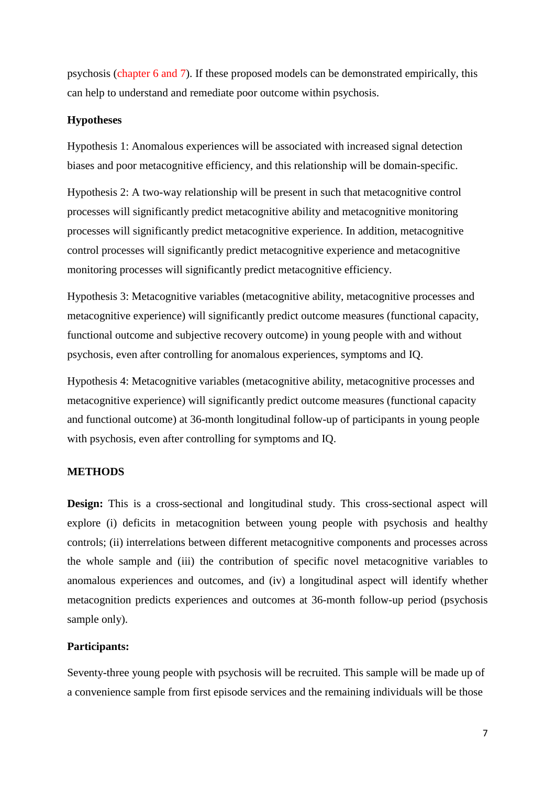psychosis (chapter 6 and 7). If these proposed models can be demonstrated empirically, this can help to understand and remediate poor outcome within psychosis.

### **Hypotheses**

Hypothesis 1: Anomalous experiences will be associated with increased signal detection biases and poor metacognitive efficiency, and this relationship will be domain-specific.

Hypothesis 2: A two-way relationship will be present in such that metacognitive control processes will significantly predict metacognitive ability and metacognitive monitoring processes will significantly predict metacognitive experience. In addition, metacognitive control processes will significantly predict metacognitive experience and metacognitive monitoring processes will significantly predict metacognitive efficiency.

Hypothesis 3: Metacognitive variables (metacognitive ability, metacognitive processes and metacognitive experience) will significantly predict outcome measures (functional capacity, functional outcome and subjective recovery outcome) in young people with and without psychosis, even after controlling for anomalous experiences, symptoms and IQ.

Hypothesis 4: Metacognitive variables (metacognitive ability, metacognitive processes and metacognitive experience) will significantly predict outcome measures (functional capacity and functional outcome) at 36-month longitudinal follow-up of participants in young people with psychosis, even after controlling for symptoms and IQ.

#### **METHODS**

**Design:** This is a cross-sectional and longitudinal study. This cross-sectional aspect will explore (i) deficits in metacognition between young people with psychosis and healthy controls; (ii) interrelations between different metacognitive components and processes across the whole sample and (iii) the contribution of specific novel metacognitive variables to anomalous experiences and outcomes, and (iv) a longitudinal aspect will identify whether metacognition predicts experiences and outcomes at 36-month follow-up period (psychosis sample only).

### **Participants:**

Seventy-three young people with psychosis will be recruited. This sample will be made up of a convenience sample from first episode services and the remaining individuals will be those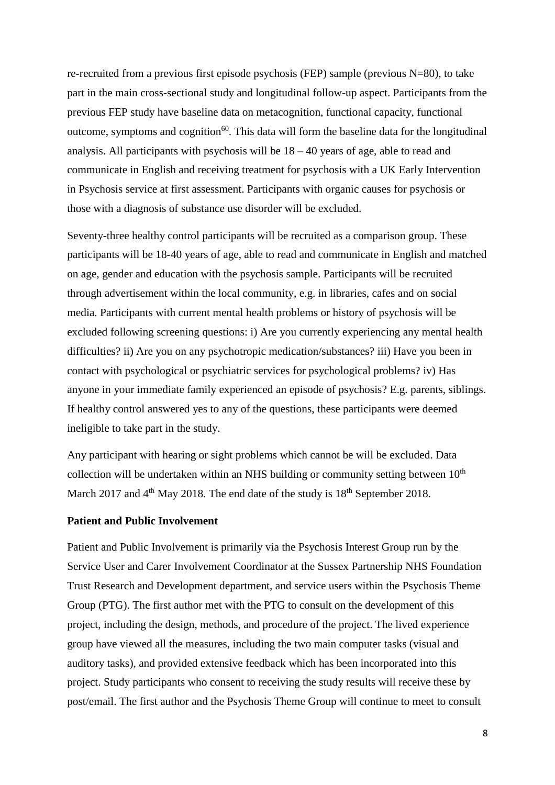re-recruited from a previous first episode psychosis (FEP) sample (previous N=80), to take part in the main cross-sectional study and longitudinal follow-up aspect. Participants from the previous FEP study have baseline data on metacognition, functional capacity, functional outcome, symptoms and cognition<sup>60</sup>. This data will form the baseline data for the longitudinal analysis. All participants with psychosis will be 18 – 40 years of age, able to read and communicate in English and receiving treatment for psychosis with a UK Early Intervention in Psychosis service at first assessment. Participants with organic causes for psychosis or those with a diagnosis of substance use disorder will be excluded.

Seventy-three healthy control participants will be recruited as a comparison group. These participants will be 18-40 years of age, able to read and communicate in English and matched on age, gender and education with the psychosis sample. Participants will be recruited through advertisement within the local community, e.g. in libraries, cafes and on social media. Participants with current mental health problems or history of psychosis will be excluded following screening questions: i) Are you currently experiencing any mental health difficulties? ii) Are you on any psychotropic medication/substances? iii) Have you been in contact with psychological or psychiatric services for psychological problems? iv) Has anyone in your immediate family experienced an episode of psychosis? E.g. parents, siblings. If healthy control answered yes to any of the questions, these participants were deemed ineligible to take part in the study.

Any participant with hearing or sight problems which cannot be will be excluded. Data collection will be undertaken within an NHS building or community setting between  $10<sup>th</sup>$ March 2017 and  $4<sup>th</sup>$  May 2018. The end date of the study is  $18<sup>th</sup>$  September 2018.

### **Patient and Public Involvement**

Patient and Public Involvement is primarily via the Psychosis Interest Group run by the Service User and Carer Involvement Coordinator at the Sussex Partnership NHS Foundation Trust Research and Development department, and service users within the Psychosis Theme Group (PTG). The first author met with the PTG to consult on the development of this project, including the design, methods, and procedure of the project. The lived experience group have viewed all the measures, including the two main computer tasks (visual and auditory tasks), and provided extensive feedback which has been incorporated into this project. Study participants who consent to receiving the study results will receive these by post/email. The first author and the Psychosis Theme Group will continue to meet to consult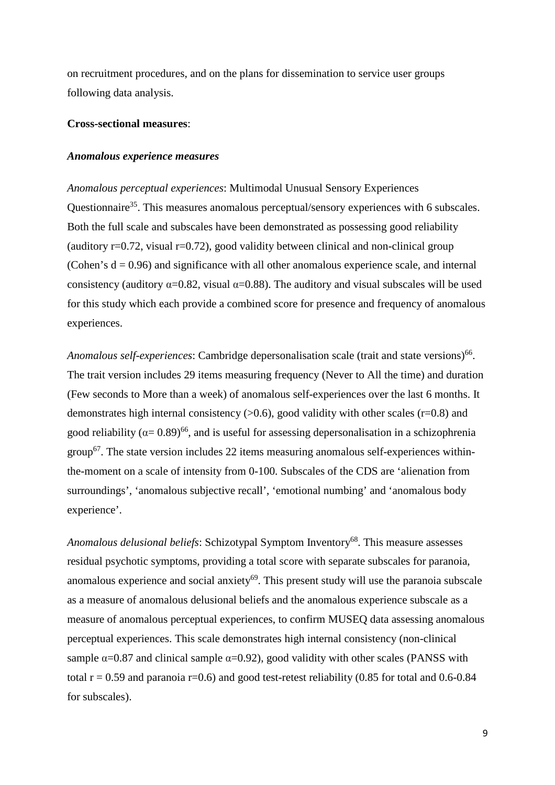on recruitment procedures, and on the plans for dissemination to service user groups following data analysis.

#### **Cross-sectional measures**:

#### *Anomalous experience measures*

*Anomalous perceptual experiences*: Multimodal Unusual Sensory Experiences Questionnaire<sup>35</sup>. This measures anomalous perceptual/sensory experiences with 6 subscales. Both the full scale and subscales have been demonstrated as possessing good reliability (auditory  $r=0.72$ , visual  $r=0.72$ ), good validity between clinical and non-clinical group (Cohen's  $d = 0.96$ ) and significance with all other anomalous experience scale, and internal consistency (auditory  $\alpha$ =0.82, visual  $\alpha$ =0.88). The auditory and visual subscales will be used for this study which each provide a combined score for presence and frequency of anomalous experiences.

Anomalous self-experiences: Cambridge depersonalisation scale (trait and state versions)<sup>66</sup>. The trait version includes 29 items measuring frequency (Never to All the time) and duration (Few seconds to More than a week) of anomalous self-experiences over the last 6 months. It demonstrates high internal consistency  $(0.6)$ , good validity with other scales (r=0.8) and good reliability ( $\alpha$ = 0.89)<sup>66</sup>, and is useful for assessing depersonalisation in a schizophrenia  $\text{group}^{67}$ . The state version includes 22 items measuring anomalous self-experiences withinthe-moment on a scale of intensity from 0-100. Subscales of the CDS are 'alienation from surroundings', 'anomalous subjective recall', 'emotional numbing' and 'anomalous body experience'.

Anomalous delusional beliefs: Schizotypal Symptom Inventory<sup>68</sup>. This measure assesses residual psychotic symptoms, providing a total score with separate subscales for paranoia, anomalous experience and social anxiety $69$ . This present study will use the paranoia subscale as a measure of anomalous delusional beliefs and the anomalous experience subscale as a measure of anomalous perceptual experiences, to confirm MUSEQ data assessing anomalous perceptual experiences. This scale demonstrates high internal consistency (non-clinical sample  $\alpha$ =0.87 and clinical sample  $\alpha$ =0.92), good validity with other scales (PANSS with total  $r = 0.59$  and paranoia r=0.6) and good test-retest reliability (0.85 for total and 0.6-0.84 for subscales).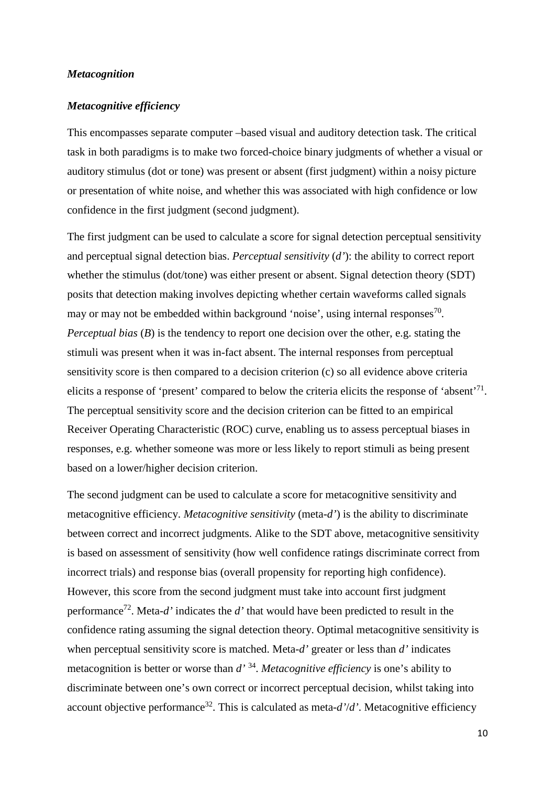### *Metacognition*

#### *Metacognitive efficiency*

This encompasses separate computer –based visual and auditory detection task. The critical task in both paradigms is to make two forced-choice binary judgments of whether a visual or auditory stimulus (dot or tone) was present or absent (first judgment) within a noisy picture or presentation of white noise, and whether this was associated with high confidence or low confidence in the first judgment (second judgment).

The first judgment can be used to calculate a score for signal detection perceptual sensitivity and perceptual signal detection bias. *Perceptual sensitivity* (*d'*): the ability to correct report whether the stimulus (dot/tone) was either present or absent. Signal detection theory (SDT) posits that detection making involves depicting whether certain waveforms called signals may or may not be embedded within background 'noise', using internal responses $^{70}$ . *Perceptual bias* (*B*) is the tendency to report one decision over the other, e.g. stating the stimuli was present when it was in-fact absent. The internal responses from perceptual sensitivity score is then compared to a decision criterion (c) so all evidence above criteria elicits a response of 'present' compared to below the criteria elicits the response of 'absent'71. The perceptual sensitivity score and the decision criterion can be fitted to an empirical Receiver Operating Characteristic (ROC) curve, enabling us to assess perceptual biases in responses, e.g. whether someone was more or less likely to report stimuli as being present based on a lower/higher decision criterion.

The second judgment can be used to calculate a score for metacognitive sensitivity and metacognitive efficiency. *Metacognitive sensitivity* (meta-*d'*) is the ability to discriminate between correct and incorrect judgments. Alike to the SDT above, metacognitive sensitivity is based on assessment of sensitivity (how well confidence ratings discriminate correct from incorrect trials) and response bias (overall propensity for reporting high confidence). However, this score from the second judgment must take into account first judgment performance<sup>72</sup>. Meta- $d'$  indicates the  $d'$  that would have been predicted to result in the confidence rating assuming the signal detection theory. Optimal metacognitive sensitivity is when perceptual sensitivity score is matched. Meta-*d'* greater or less than *d'* indicates metacognition is better or worse than *d'* 34. *Metacognitive efficiency* is one's ability to discriminate between one's own correct or incorrect perceptual decision, whilst taking into account objective performance<sup>32</sup>. This is calculated as meta- $d'/d'$ . Metacognitive efficiency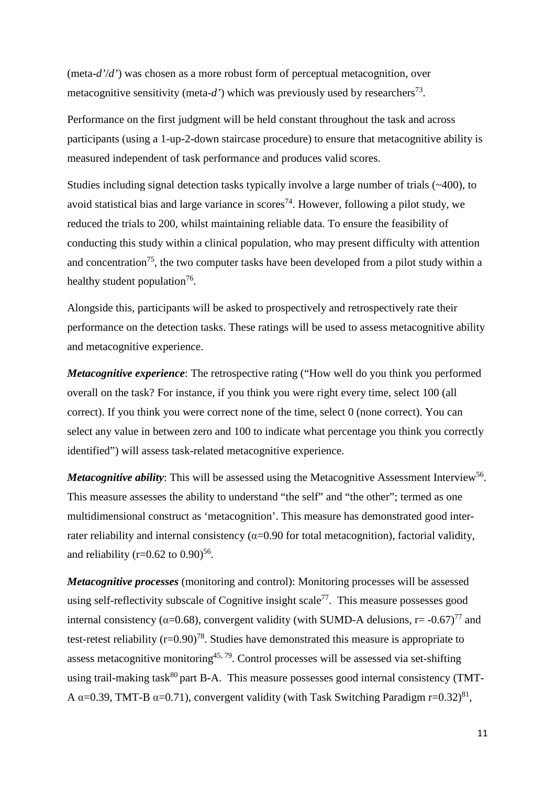(meta-*d'*/*d'*) was chosen as a more robust form of perceptual metacognition, over metacognitive sensitivity (meta-d') which was previously used by researchers<sup>73</sup>.

Performance on the first judgment will be held constant throughout the task and across participants (using a 1-up-2-down staircase procedure) to ensure that metacognitive ability is measured independent of task performance and produces valid scores.

Studies including signal detection tasks typically involve a large number of trials (~400), to avoid statistical bias and large variance in scores<sup>74</sup>. However, following a pilot study, we reduced the trials to 200, whilst maintaining reliable data. To ensure the feasibility of conducting this study within a clinical population, who may present difficulty with attention and concentration<sup>75</sup>, the two computer tasks have been developed from a pilot study within a healthy student population<sup>76</sup>.

Alongside this, participants will be asked to prospectively and retrospectively rate their performance on the detection tasks. These ratings will be used to assess metacognitive ability and metacognitive experience.

*Metacognitive experience*: The retrospective rating ("How well do you think you performed overall on the task? For instance, if you think you were right every time, select 100 (all correct). If you think you were correct none of the time, select 0 (none correct). You can select any value in between zero and 100 to indicate what percentage you think you correctly identified") will assess task-related metacognitive experience.

*Metacognitive ability*: This will be assessed using the Metacognitive Assessment Interview<sup>56</sup>. This measure assesses the ability to understand "the self" and "the other"; termed as one multidimensional construct as 'metacognition'. This measure has demonstrated good interrater reliability and internal consistency ( $\alpha$ =0.90 for total metacognition), factorial validity, and reliability (r= $0.62$  to  $0.90$ )<sup>56</sup>.

*Metacognitive processes* (monitoring and control): Monitoring processes will be assessed using self-reflectivity subscale of Cognitive insight scale<sup>77</sup>. This measure possesses good internal consistency ( $\alpha$ =0.68), convergent validity (with SUMD-A delusions, r= $-0.67$ )<sup>77</sup> and test-retest reliability  $(r=0.90)^{78}$ . Studies have demonstrated this measure is appropriate to assess metacognitive monitoring<sup>45, 79</sup>. Control processes will be assessed via set-shifting using trail-making task $80$  part B-A. This measure possesses good internal consistency (TMT-A  $\alpha$ =0.39, TMT-B  $\alpha$ =0.71), convergent validity (with Task Switching Paradigm r=0.32)<sup>81</sup>,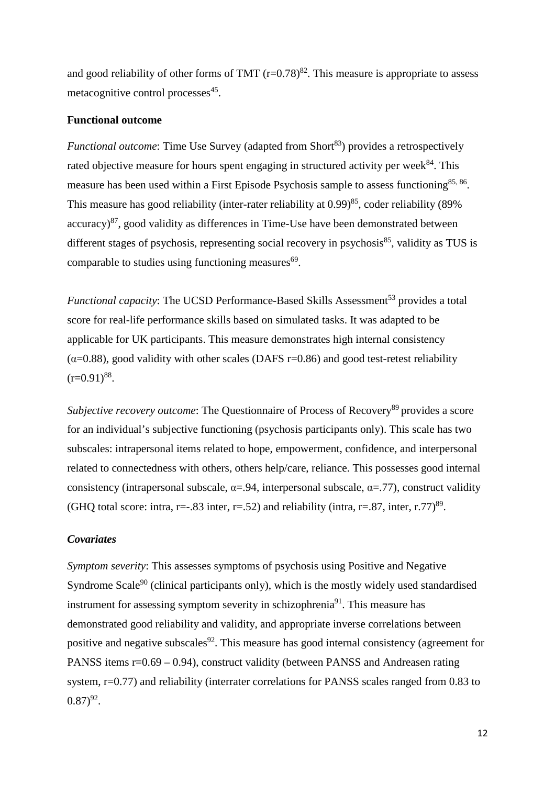and good reliability of other forms of TMT  $(r=0.78)^{82}$ . This measure is appropriate to assess metacognitive control processes $45$ .

### **Functional outcome**

*Functional outcome*: Time Use Survey (adapted from Short<sup>83</sup>) provides a retrospectively rated objective measure for hours spent engaging in structured activity per week<sup>84</sup>. This measure has been used within a First Episode Psychosis sample to assess functioning<sup>85, 86</sup>. This measure has good reliability (inter-rater reliability at 0.99)<sup>85</sup>, coder reliability (89% accuracy) 87, good validity as differences in Time-Use have been demonstrated between different stages of psychosis, representing social recovery in psychosis<sup>85</sup>, validity as TUS is comparable to studies using functioning measures $69$ .

*Functional capacity*: The UCSD Performance-Based Skills Assessment<sup>53</sup> provides a total score for real-life performance skills based on simulated tasks. It was adapted to be applicable for UK participants. This measure demonstrates high internal consistency  $(\alpha=0.88)$ , good validity with other scales (DAFS r=0.86) and good test-retest reliability  $(r=0.91)^{88}$ .

*Subjective recovery outcome*: The Questionnaire of Process of Recovery<sup>89</sup> provides a score for an individual's subjective functioning (psychosis participants only). This scale has two subscales: intrapersonal items related to hope, empowerment, confidence, and interpersonal related to connectedness with others, others help/care, reliance. This possesses good internal consistency (intrapersonal subscale,  $\alpha = .94$ , interpersonal subscale,  $\alpha = .77$ ), construct validity (GHQ total score: intra, r= $-0.83$  inter, r= $0.52$ ) and reliability (intra, r= $0.87$ , inter, r.77)<sup>89</sup>.

### *Covariates*

*Symptom severity*: This assesses symptoms of psychosis using Positive and Negative Syndrome Scale<sup>90</sup> (clinical participants only), which is the mostly widely used standardised instrument for assessing symptom severity in schizophrenia<sup>91</sup>. This measure has demonstrated good reliability and validity, and appropriate inverse correlations between positive and negative subscales<sup>92</sup>. This measure has good internal consistency (agreement for PANSS items r=0.69 – 0.94), construct validity (between PANSS and Andreasen rating system, r=0.77) and reliability (interrater correlations for PANSS scales ranged from 0.83 to  $(0.87)^{92}$ .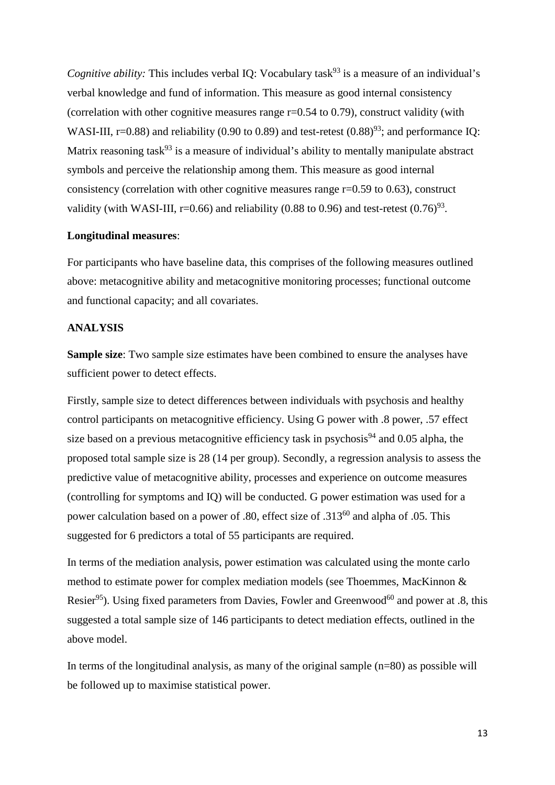*Cognitive ability:* This includes verbal IQ: Vocabulary task<sup>93</sup> is a measure of an individual's verbal knowledge and fund of information. This measure as good internal consistency (correlation with other cognitive measures range r=0.54 to 0.79), construct validity (with WASI-III, r=0.88) and reliability (0.90 to 0.89) and test-retest (0.88)<sup>93</sup>; and performance IQ: Matrix reasoning task<sup>93</sup> is a measure of individual's ability to mentally manipulate abstract symbols and perceive the relationship among them. This measure as good internal consistency (correlation with other cognitive measures range r=0.59 to 0.63), construct validity (with WASI-III, r=0.66) and reliability (0.88 to 0.96) and test-retest  $(0.76)^{93}$ .

#### **Longitudinal measures**:

For participants who have baseline data, this comprises of the following measures outlined above: metacognitive ability and metacognitive monitoring processes; functional outcome and functional capacity; and all covariates.

#### **ANALYSIS**

**Sample size**: Two sample size estimates have been combined to ensure the analyses have sufficient power to detect effects.

Firstly, sample size to detect differences between individuals with psychosis and healthy control participants on metacognitive efficiency. Using G power with .8 power, .57 effect size based on a previous metacognitive efficiency task in psychosis<sup>94</sup> and 0.05 alpha, the proposed total sample size is 28 (14 per group). Secondly, a regression analysis to assess the predictive value of metacognitive ability, processes and experience on outcome measures (controlling for symptoms and IQ) will be conducted. G power estimation was used for a power calculation based on a power of .80, effect size of .313<sup>60</sup> and alpha of .05. This suggested for 6 predictors a total of 55 participants are required.

In terms of the mediation analysis, power estimation was calculated using the monte carlo method to estimate power for complex mediation models (see Thoemmes, MacKinnon & Resier<sup>95</sup>). Using fixed parameters from Davies, Fowler and Greenwood<sup>60</sup> and power at .8, this suggested a total sample size of 146 participants to detect mediation effects, outlined in the above model.

In terms of the longitudinal analysis, as many of the original sample (n=80) as possible will be followed up to maximise statistical power.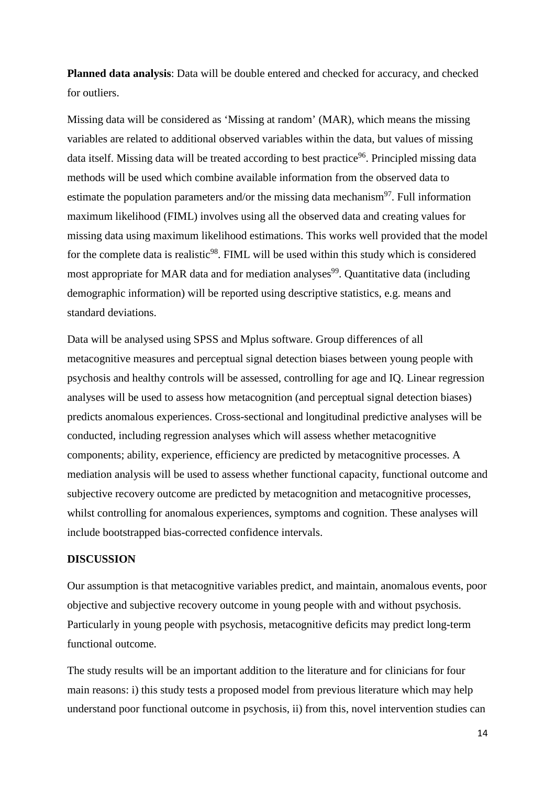**Planned data analysis**: Data will be double entered and checked for accuracy, and checked for outliers.

Missing data will be considered as 'Missing at random' (MAR), which means the missing variables are related to additional observed variables within the data, but values of missing data itself. Missing data will be treated according to best practice<sup>96</sup>. Principled missing data methods will be used which combine available information from the observed data to estimate the population parameters and/or the missing data mechanism $97$ . Full information maximum likelihood (FIML) involves using all the observed data and creating values for missing data using maximum likelihood estimations. This works well provided that the model for the complete data is realistic $98$ . FIML will be used within this study which is considered most appropriate for MAR data and for mediation analyses<sup>99</sup>. Quantitative data (including demographic information) will be reported using descriptive statistics, e.g. means and standard deviations.

Data will be analysed using SPSS and Mplus software. Group differences of all metacognitive measures and perceptual signal detection biases between young people with psychosis and healthy controls will be assessed, controlling for age and IQ. Linear regression analyses will be used to assess how metacognition (and perceptual signal detection biases) predicts anomalous experiences. Cross-sectional and longitudinal predictive analyses will be conducted, including regression analyses which will assess whether metacognitive components; ability, experience, efficiency are predicted by metacognitive processes. A mediation analysis will be used to assess whether functional capacity, functional outcome and subjective recovery outcome are predicted by metacognition and metacognitive processes, whilst controlling for anomalous experiences, symptoms and cognition. These analyses will include bootstrapped bias-corrected confidence intervals.

### **DISCUSSION**

Our assumption is that metacognitive variables predict, and maintain, anomalous events, poor objective and subjective recovery outcome in young people with and without psychosis. Particularly in young people with psychosis, metacognitive deficits may predict long-term functional outcome.

The study results will be an important addition to the literature and for clinicians for four main reasons: i) this study tests a proposed model from previous literature which may help understand poor functional outcome in psychosis, ii) from this, novel intervention studies can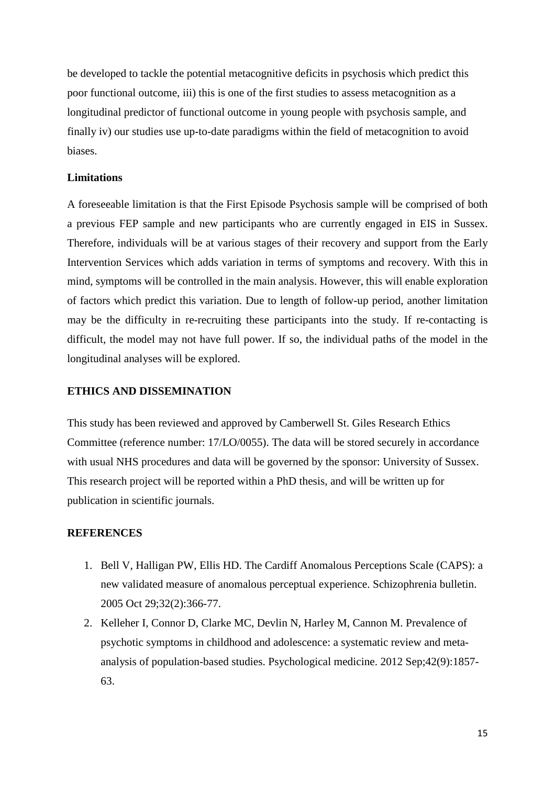be developed to tackle the potential metacognitive deficits in psychosis which predict this poor functional outcome, iii) this is one of the first studies to assess metacognition as a longitudinal predictor of functional outcome in young people with psychosis sample, and finally iv) our studies use up-to-date paradigms within the field of metacognition to avoid biases.

# **Limitations**

A foreseeable limitation is that the First Episode Psychosis sample will be comprised of both a previous FEP sample and new participants who are currently engaged in EIS in Sussex. Therefore, individuals will be at various stages of their recovery and support from the Early Intervention Services which adds variation in terms of symptoms and recovery. With this in mind, symptoms will be controlled in the main analysis. However, this will enable exploration of factors which predict this variation. Due to length of follow-up period, another limitation may be the difficulty in re-recruiting these participants into the study. If re-contacting is difficult, the model may not have full power. If so, the individual paths of the model in the longitudinal analyses will be explored.

### **ETHICS AND DISSEMINATION**

This study has been reviewed and approved by Camberwell St. Giles Research Ethics Committee (reference number: 17/LO/0055). The data will be stored securely in accordance with usual NHS procedures and data will be governed by the sponsor: University of Sussex. This research project will be reported within a PhD thesis, and will be written up for publication in scientific journals.

#### **REFERENCES**

- 1. Bell V, Halligan PW, Ellis HD. The Cardiff Anomalous Perceptions Scale (CAPS): a new validated measure of anomalous perceptual experience. Schizophrenia bulletin. 2005 Oct 29;32(2):366-77.
- 2. Kelleher I, Connor D, Clarke MC, Devlin N, Harley M, Cannon M. Prevalence of psychotic symptoms in childhood and adolescence: a systematic review and metaanalysis of population-based studies. Psychological medicine. 2012 Sep;42(9):1857- 63.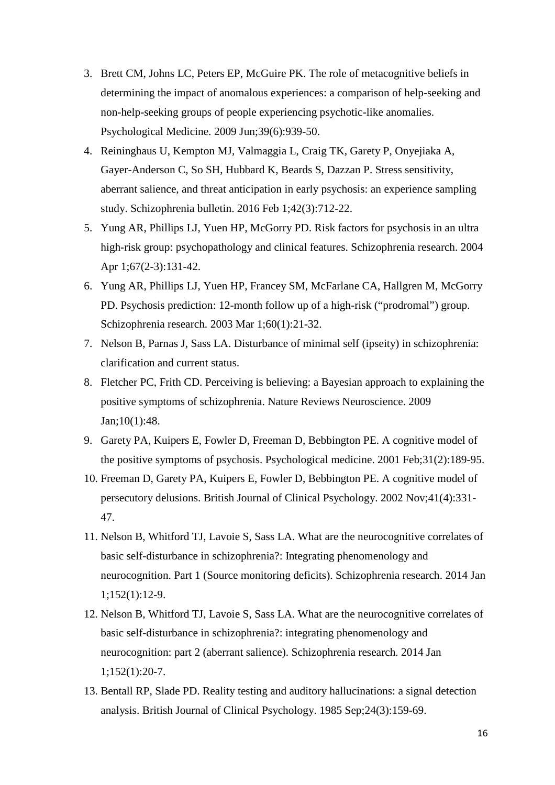- 3. Brett CM, Johns LC, Peters EP, McGuire PK. The role of metacognitive beliefs in determining the impact of anomalous experiences: a comparison of help-seeking and non-help-seeking groups of people experiencing psychotic-like anomalies. Psychological Medicine. 2009 Jun;39(6):939-50.
- 4. Reininghaus U, Kempton MJ, Valmaggia L, Craig TK, Garety P, Onyejiaka A, Gayer-Anderson C, So SH, Hubbard K, Beards S, Dazzan P. Stress sensitivity, aberrant salience, and threat anticipation in early psychosis: an experience sampling study. Schizophrenia bulletin. 2016 Feb 1;42(3):712-22.
- 5. Yung AR, Phillips LJ, Yuen HP, McGorry PD. Risk factors for psychosis in an ultra high-risk group: psychopathology and clinical features. Schizophrenia research. 2004 Apr 1;67(2-3):131-42.
- 6. Yung AR, Phillips LJ, Yuen HP, Francey SM, McFarlane CA, Hallgren M, McGorry PD. Psychosis prediction: 12-month follow up of a high-risk ("prodromal") group. Schizophrenia research. 2003 Mar 1;60(1):21-32.
- 7. Nelson B, Parnas J, Sass LA. Disturbance of minimal self (ipseity) in schizophrenia: clarification and current status.
- 8. Fletcher PC, Frith CD. Perceiving is believing: a Bayesian approach to explaining the positive symptoms of schizophrenia. Nature Reviews Neuroscience. 2009 Jan;10(1):48.
- 9. Garety PA, Kuipers E, Fowler D, Freeman D, Bebbington PE. A cognitive model of the positive symptoms of psychosis. Psychological medicine. 2001 Feb;31(2):189-95.
- 10. Freeman D, Garety PA, Kuipers E, Fowler D, Bebbington PE. A cognitive model of persecutory delusions. British Journal of Clinical Psychology. 2002 Nov;41(4):331- 47.
- 11. Nelson B, Whitford TJ, Lavoie S, Sass LA. What are the neurocognitive correlates of basic self-disturbance in schizophrenia?: Integrating phenomenology and neurocognition. Part 1 (Source monitoring deficits). Schizophrenia research. 2014 Jan 1;152(1):12-9.
- 12. Nelson B, Whitford TJ, Lavoie S, Sass LA. What are the neurocognitive correlates of basic self-disturbance in schizophrenia?: integrating phenomenology and neurocognition: part 2 (aberrant salience). Schizophrenia research. 2014 Jan 1;152(1):20-7.
- 13. Bentall RP, Slade PD. Reality testing and auditory hallucinations: a signal detection analysis. British Journal of Clinical Psychology. 1985 Sep;24(3):159-69.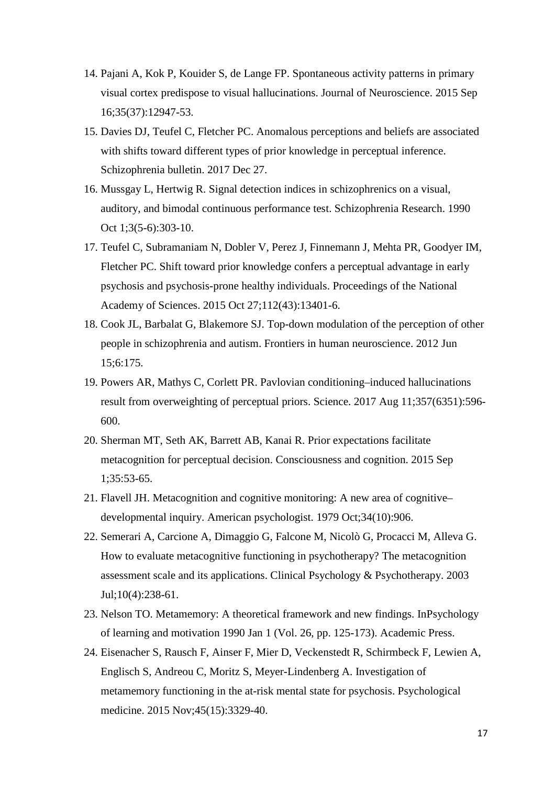- 14. Pajani A, Kok P, Kouider S, de Lange FP. Spontaneous activity patterns in primary visual cortex predispose to visual hallucinations. Journal of Neuroscience. 2015 Sep 16;35(37):12947-53.
- 15. Davies DJ, Teufel C, Fletcher PC. Anomalous perceptions and beliefs are associated with shifts toward different types of prior knowledge in perceptual inference. Schizophrenia bulletin. 2017 Dec 27.
- 16. Mussgay L, Hertwig R. Signal detection indices in schizophrenics on a visual, auditory, and bimodal continuous performance test. Schizophrenia Research. 1990 Oct 1;3(5-6):303-10.
- 17. Teufel C, Subramaniam N, Dobler V, Perez J, Finnemann J, Mehta PR, Goodyer IM, Fletcher PC. Shift toward prior knowledge confers a perceptual advantage in early psychosis and psychosis-prone healthy individuals. Proceedings of the National Academy of Sciences. 2015 Oct 27;112(43):13401-6.
- 18. Cook JL, Barbalat G, Blakemore SJ. Top-down modulation of the perception of other people in schizophrenia and autism. Frontiers in human neuroscience. 2012 Jun 15;6:175.
- 19. Powers AR, Mathys C, Corlett PR. Pavlovian conditioning–induced hallucinations result from overweighting of perceptual priors. Science. 2017 Aug 11;357(6351):596- 600.
- 20. Sherman MT, Seth AK, Barrett AB, Kanai R. Prior expectations facilitate metacognition for perceptual decision. Consciousness and cognition. 2015 Sep 1;35:53-65.
- 21. Flavell JH. Metacognition and cognitive monitoring: A new area of cognitive– developmental inquiry. American psychologist. 1979 Oct;34(10):906.
- 22. Semerari A, Carcione A, Dimaggio G, Falcone M, Nicolò G, Procacci M, Alleva G. How to evaluate metacognitive functioning in psychotherapy? The metacognition assessment scale and its applications. Clinical Psychology & Psychotherapy. 2003 Jul;10(4):238-61.
- 23. Nelson TO. Metamemory: A theoretical framework and new findings. InPsychology of learning and motivation 1990 Jan 1 (Vol. 26, pp. 125-173). Academic Press.
- 24. Eisenacher S, Rausch F, Ainser F, Mier D, Veckenstedt R, Schirmbeck F, Lewien A, Englisch S, Andreou C, Moritz S, Meyer-Lindenberg A. Investigation of metamemory functioning in the at-risk mental state for psychosis. Psychological medicine. 2015 Nov;45(15):3329-40.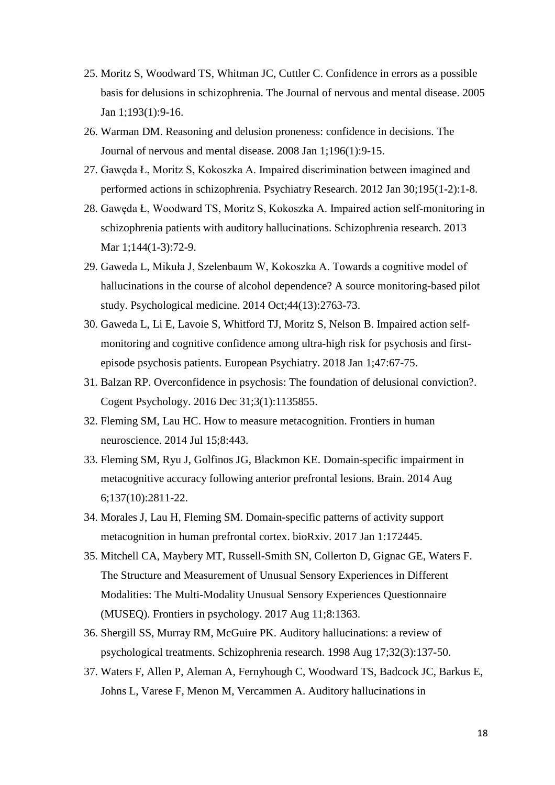- 25. Moritz S, Woodward TS, Whitman JC, Cuttler C. Confidence in errors as a possible basis for delusions in schizophrenia. The Journal of nervous and mental disease. 2005 Jan 1;193(1):9-16.
- 26. Warman DM. Reasoning and delusion proneness: confidence in decisions. The Journal of nervous and mental disease. 2008 Jan 1;196(1):9-15.
- 27. Gawęda Ł, Moritz S, Kokoszka A. Impaired discrimination between imagined and performed actions in schizophrenia. Psychiatry Research. 2012 Jan 30;195(1-2):1-8.
- 28. Gawęda Ł, Woodward TS, Moritz S, Kokoszka A. Impaired action self-monitoring in schizophrenia patients with auditory hallucinations. Schizophrenia research. 2013 Mar 1;144(1-3):72-9.
- 29. Gaweda L, Mikuła J, Szelenbaum W, Kokoszka A. Towards a cognitive model of hallucinations in the course of alcohol dependence? A source monitoring-based pilot study. Psychological medicine. 2014 Oct;44(13):2763-73.
- 30. Gaweda L, Li E, Lavoie S, Whitford TJ, Moritz S, Nelson B. Impaired action selfmonitoring and cognitive confidence among ultra-high risk for psychosis and firstepisode psychosis patients. European Psychiatry. 2018 Jan 1;47:67-75.
- 31. Balzan RP. Overconfidence in psychosis: The foundation of delusional conviction?. Cogent Psychology. 2016 Dec 31;3(1):1135855.
- 32. Fleming SM, Lau HC. How to measure metacognition. Frontiers in human neuroscience. 2014 Jul 15;8:443.
- 33. Fleming SM, Ryu J, Golfinos JG, Blackmon KE. Domain-specific impairment in metacognitive accuracy following anterior prefrontal lesions. Brain. 2014 Aug 6;137(10):2811-22.
- 34. Morales J, Lau H, Fleming SM. Domain-specific patterns of activity support metacognition in human prefrontal cortex. bioRxiv. 2017 Jan 1:172445.
- 35. Mitchell CA, Maybery MT, Russell-Smith SN, Collerton D, Gignac GE, Waters F. The Structure and Measurement of Unusual Sensory Experiences in Different Modalities: The Multi-Modality Unusual Sensory Experiences Questionnaire (MUSEQ). Frontiers in psychology. 2017 Aug 11;8:1363.
- 36. Shergill SS, Murray RM, McGuire PK. Auditory hallucinations: a review of psychological treatments. Schizophrenia research. 1998 Aug 17;32(3):137-50.
- 37. Waters F, Allen P, Aleman A, Fernyhough C, Woodward TS, Badcock JC, Barkus E, Johns L, Varese F, Menon M, Vercammen A. Auditory hallucinations in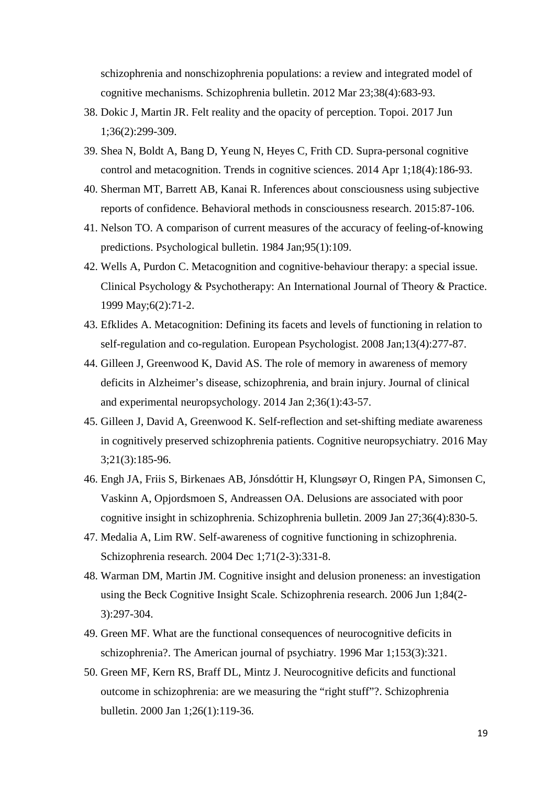schizophrenia and nonschizophrenia populations: a review and integrated model of cognitive mechanisms. Schizophrenia bulletin. 2012 Mar 23;38(4):683-93.

- 38. Dokic J, Martin JR. Felt reality and the opacity of perception. Topoi. 2017 Jun 1;36(2):299-309.
- 39. Shea N, Boldt A, Bang D, Yeung N, Heyes C, Frith CD. Supra-personal cognitive control and metacognition. Trends in cognitive sciences. 2014 Apr 1;18(4):186-93.
- 40. Sherman MT, Barrett AB, Kanai R. Inferences about consciousness using subjective reports of confidence. Behavioral methods in consciousness research. 2015:87-106.
- 41. Nelson TO. A comparison of current measures of the accuracy of feeling-of-knowing predictions. Psychological bulletin. 1984 Jan;95(1):109.
- 42. Wells A, Purdon C. Metacognition and cognitive-behaviour therapy: a special issue. Clinical Psychology & Psychotherapy: An International Journal of Theory & Practice. 1999 May;6(2):71-2.
- 43. Efklides A. Metacognition: Defining its facets and levels of functioning in relation to self-regulation and co-regulation. European Psychologist. 2008 Jan;13(4):277-87.
- 44. Gilleen J, Greenwood K, David AS. The role of memory in awareness of memory deficits in Alzheimer's disease, schizophrenia, and brain injury. Journal of clinical and experimental neuropsychology. 2014 Jan 2;36(1):43-57.
- 45. Gilleen J, David A, Greenwood K. Self-reflection and set-shifting mediate awareness in cognitively preserved schizophrenia patients. Cognitive neuropsychiatry. 2016 May 3;21(3):185-96.
- 46. Engh JA, Friis S, Birkenaes AB, Jónsdóttir H, Klungsøyr O, Ringen PA, Simonsen C, Vaskinn A, Opjordsmoen S, Andreassen OA. Delusions are associated with poor cognitive insight in schizophrenia. Schizophrenia bulletin. 2009 Jan 27;36(4):830-5.
- 47. Medalia A, Lim RW. Self-awareness of cognitive functioning in schizophrenia. Schizophrenia research. 2004 Dec 1;71(2-3):331-8.
- 48. Warman DM, Martin JM. Cognitive insight and delusion proneness: an investigation using the Beck Cognitive Insight Scale. Schizophrenia research. 2006 Jun 1;84(2- 3):297-304.
- 49. Green MF. What are the functional consequences of neurocognitive deficits in schizophrenia?. The American journal of psychiatry. 1996 Mar 1;153(3):321.
- 50. Green MF, Kern RS, Braff DL, Mintz J. Neurocognitive deficits and functional outcome in schizophrenia: are we measuring the "right stuff"?. Schizophrenia bulletin. 2000 Jan 1;26(1):119-36.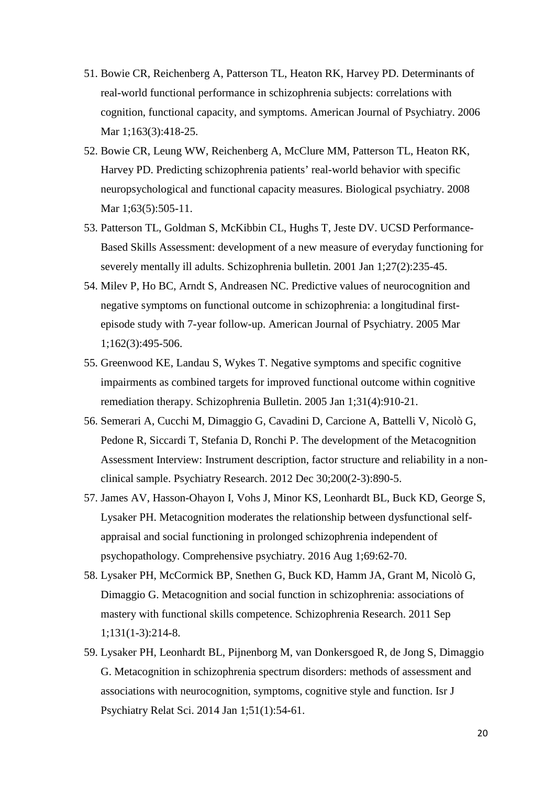- 51. Bowie CR, Reichenberg A, Patterson TL, Heaton RK, Harvey PD. Determinants of real-world functional performance in schizophrenia subjects: correlations with cognition, functional capacity, and symptoms. American Journal of Psychiatry. 2006 Mar 1;163(3):418-25.
- 52. Bowie CR, Leung WW, Reichenberg A, McClure MM, Patterson TL, Heaton RK, Harvey PD. Predicting schizophrenia patients' real-world behavior with specific neuropsychological and functional capacity measures. Biological psychiatry. 2008 Mar 1;63(5):505-11.
- 53. Patterson TL, Goldman S, McKibbin CL, Hughs T, Jeste DV. UCSD Performance-Based Skills Assessment: development of a new measure of everyday functioning for severely mentally ill adults. Schizophrenia bulletin. 2001 Jan 1;27(2):235-45.
- 54. Milev P, Ho BC, Arndt S, Andreasen NC. Predictive values of neurocognition and negative symptoms on functional outcome in schizophrenia: a longitudinal firstepisode study with 7-year follow-up. American Journal of Psychiatry. 2005 Mar 1;162(3):495-506.
- 55. Greenwood KE, Landau S, Wykes T. Negative symptoms and specific cognitive impairments as combined targets for improved functional outcome within cognitive remediation therapy. Schizophrenia Bulletin. 2005 Jan 1;31(4):910-21.
- 56. Semerari A, Cucchi M, Dimaggio G, Cavadini D, Carcione A, Battelli V, Nicolò G, Pedone R, Siccardi T, Stefania D, Ronchi P. The development of the Metacognition Assessment Interview: Instrument description, factor structure and reliability in a nonclinical sample. Psychiatry Research. 2012 Dec 30;200(2-3):890-5.
- 57. James AV, Hasson-Ohayon I, Vohs J, Minor KS, Leonhardt BL, Buck KD, George S, Lysaker PH. Metacognition moderates the relationship between dysfunctional selfappraisal and social functioning in prolonged schizophrenia independent of psychopathology. Comprehensive psychiatry. 2016 Aug 1;69:62-70.
- 58. Lysaker PH, McCormick BP, Snethen G, Buck KD, Hamm JA, Grant M, Nicolò G, Dimaggio G. Metacognition and social function in schizophrenia: associations of mastery with functional skills competence. Schizophrenia Research. 2011 Sep 1;131(1-3):214-8.
- 59. Lysaker PH, Leonhardt BL, Pijnenborg M, van Donkersgoed R, de Jong S, Dimaggio G. Metacognition in schizophrenia spectrum disorders: methods of assessment and associations with neurocognition, symptoms, cognitive style and function. Isr J Psychiatry Relat Sci. 2014 Jan 1;51(1):54-61.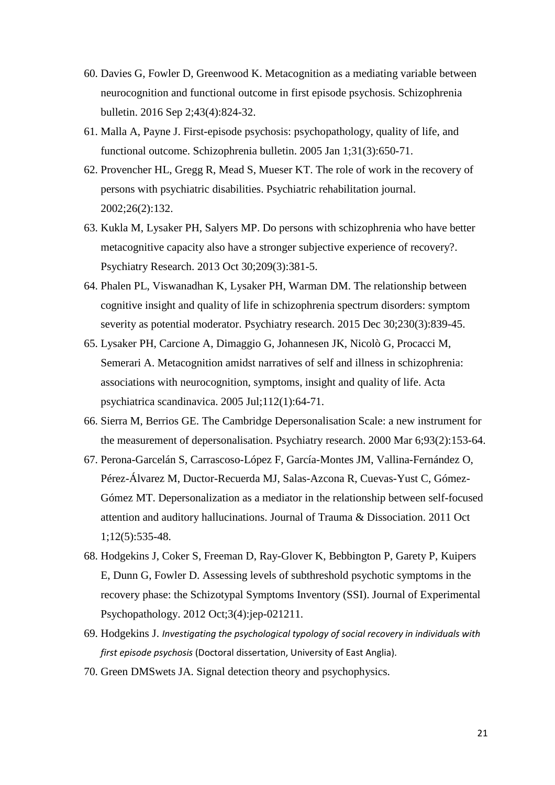- 60. Davies G, Fowler D, Greenwood K. Metacognition as a mediating variable between neurocognition and functional outcome in first episode psychosis. Schizophrenia bulletin. 2016 Sep 2;43(4):824-32.
- 61. Malla A, Payne J. First-episode psychosis: psychopathology, quality of life, and functional outcome. Schizophrenia bulletin. 2005 Jan 1;31(3):650-71.
- 62. Provencher HL, Gregg R, Mead S, Mueser KT. The role of work in the recovery of persons with psychiatric disabilities. Psychiatric rehabilitation journal. 2002;26(2):132.
- 63. Kukla M, Lysaker PH, Salyers MP. Do persons with schizophrenia who have better metacognitive capacity also have a stronger subjective experience of recovery?. Psychiatry Research. 2013 Oct 30;209(3):381-5.
- 64. Phalen PL, Viswanadhan K, Lysaker PH, Warman DM. The relationship between cognitive insight and quality of life in schizophrenia spectrum disorders: symptom severity as potential moderator. Psychiatry research. 2015 Dec 30;230(3):839-45.
- 65. Lysaker PH, Carcione A, Dimaggio G, Johannesen JK, Nicolò G, Procacci M, Semerari A. Metacognition amidst narratives of self and illness in schizophrenia: associations with neurocognition, symptoms, insight and quality of life. Acta psychiatrica scandinavica. 2005 Jul;112(1):64-71.
- 66. Sierra M, Berrios GE. The Cambridge Depersonalisation Scale: a new instrument for the measurement of depersonalisation. Psychiatry research. 2000 Mar 6;93(2):153-64.
- 67. Perona-Garcelán S, Carrascoso-López F, García-Montes JM, Vallina-Fernández O, Pérez-Álvarez M, Ductor-Recuerda MJ, Salas-Azcona R, Cuevas-Yust C, Gómez-Gómez MT. Depersonalization as a mediator in the relationship between self-focused attention and auditory hallucinations. Journal of Trauma & Dissociation. 2011 Oct 1;12(5):535-48.
- 68. Hodgekins J, Coker S, Freeman D, Ray-Glover K, Bebbington P, Garety P, Kuipers E, Dunn G, Fowler D. Assessing levels of subthreshold psychotic symptoms in the recovery phase: the Schizotypal Symptoms Inventory (SSI). Journal of Experimental Psychopathology. 2012 Oct;3(4):jep-021211.
- 69. Hodgekins J. *Investigating the psychological typology of social recovery in individuals with first episode psychosis* (Doctoral dissertation, University of East Anglia).
- 70. Green DMSwets JA. Signal detection theory and psychophysics.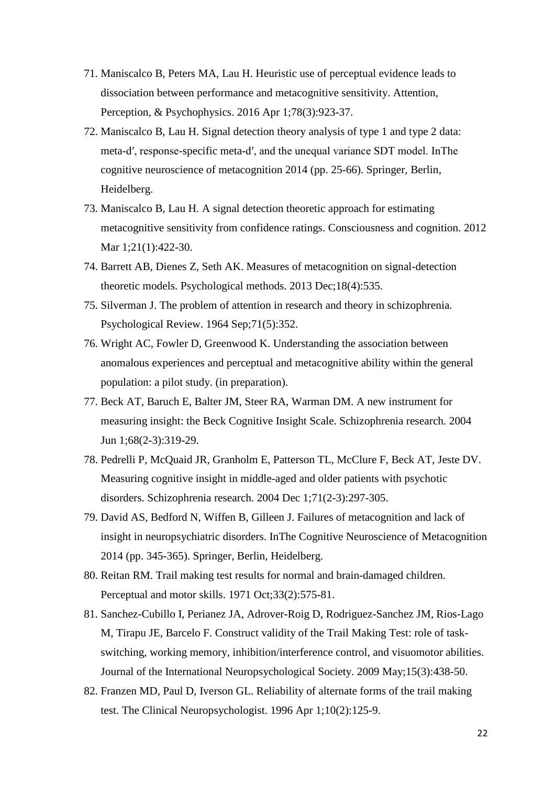- 71. Maniscalco B, Peters MA, Lau H. Heuristic use of perceptual evidence leads to dissociation between performance and metacognitive sensitivity. Attention, Perception, & Psychophysics. 2016 Apr 1;78(3):923-37.
- 72. Maniscalco B, Lau H. Signal detection theory analysis of type 1 and type 2 data: meta-d′, response-specific meta-d′, and the unequal variance SDT model. InThe cognitive neuroscience of metacognition 2014 (pp. 25-66). Springer, Berlin, Heidelberg.
- 73. Maniscalco B, Lau H. A signal detection theoretic approach for estimating metacognitive sensitivity from confidence ratings. Consciousness and cognition. 2012 Mar 1;21(1):422-30.
- 74. Barrett AB, Dienes Z, Seth AK. Measures of metacognition on signal-detection theoretic models. Psychological methods. 2013 Dec;18(4):535.
- 75. Silverman J. The problem of attention in research and theory in schizophrenia. Psychological Review. 1964 Sep;71(5):352.
- 76. Wright AC, Fowler D, Greenwood K. Understanding the association between anomalous experiences and perceptual and metacognitive ability within the general population: a pilot study. (in preparation).
- 77. Beck AT, Baruch E, Balter JM, Steer RA, Warman DM. A new instrument for measuring insight: the Beck Cognitive Insight Scale. Schizophrenia research. 2004 Jun 1;68(2-3):319-29.
- 78. Pedrelli P, McQuaid JR, Granholm E, Patterson TL, McClure F, Beck AT, Jeste DV. Measuring cognitive insight in middle-aged and older patients with psychotic disorders. Schizophrenia research. 2004 Dec 1;71(2-3):297-305.
- 79. David AS, Bedford N, Wiffen B, Gilleen J. Failures of metacognition and lack of insight in neuropsychiatric disorders. InThe Cognitive Neuroscience of Metacognition 2014 (pp. 345-365). Springer, Berlin, Heidelberg.
- 80. Reitan RM. Trail making test results for normal and brain-damaged children. Perceptual and motor skills. 1971 Oct;33(2):575-81.
- 81. Sanchez-Cubillo I, Perianez JA, Adrover-Roig D, Rodriguez-Sanchez JM, Rios-Lago M, Tirapu JE, Barcelo F. Construct validity of the Trail Making Test: role of taskswitching, working memory, inhibition/interference control, and visuomotor abilities. Journal of the International Neuropsychological Society. 2009 May;15(3):438-50.
- 82. Franzen MD, Paul D, Iverson GL. Reliability of alternate forms of the trail making test. The Clinical Neuropsychologist. 1996 Apr 1;10(2):125-9.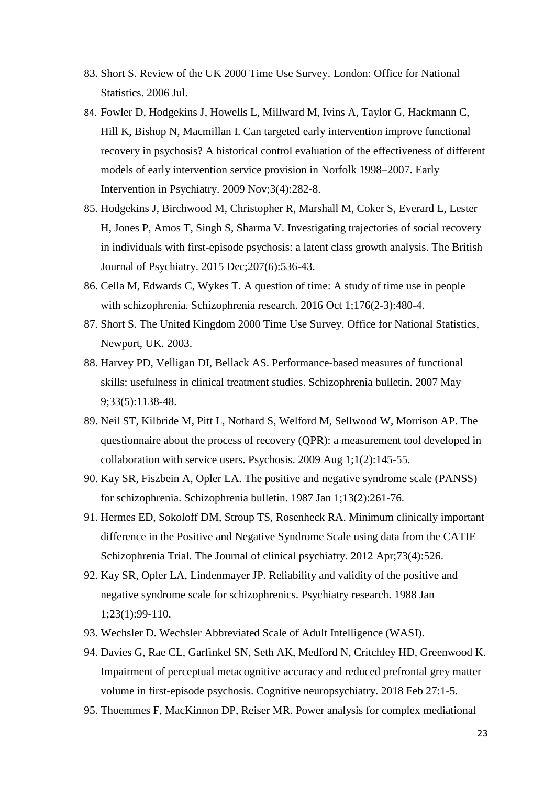- 83. Short S. Review of the UK 2000 Time Use Survey. London: Office for National Statistics. 2006 Jul.
- 84. Fowler D, Hodgekins J, Howells L, Millward M, Ivins A, Taylor G, Hackmann C, Hill K, Bishop N, Macmillan I. Can targeted early intervention improve functional recovery in psychosis? A historical control evaluation of the effectiveness of different models of early intervention service provision in Norfolk 1998–2007. Early Intervention in Psychiatry. 2009 Nov;3(4):282-8.
- 85. Hodgekins J, Birchwood M, Christopher R, Marshall M, Coker S, Everard L, Lester H, Jones P, Amos T, Singh S, Sharma V. Investigating trajectories of social recovery in individuals with first-episode psychosis: a latent class growth analysis. The British Journal of Psychiatry. 2015 Dec;207(6):536-43.
- 86. Cella M, Edwards C, Wykes T. A question of time: A study of time use in people with schizophrenia. Schizophrenia research. 2016 Oct 1;176(2-3):480-4.
- 87. Short S. The United Kingdom 2000 Time Use Survey. Office for National Statistics, Newport, UK. 2003.
- 88. Harvey PD, Velligan DI, Bellack AS. Performance-based measures of functional skills: usefulness in clinical treatment studies. Schizophrenia bulletin. 2007 May 9;33(5):1138-48.
- 89. Neil ST, Kilbride M, Pitt L, Nothard S, Welford M, Sellwood W, Morrison AP. The questionnaire about the process of recovery (QPR): a measurement tool developed in collaboration with service users. Psychosis. 2009 Aug 1;1(2):145-55.
- 90. Kay SR, Fiszbein A, Opler LA. The positive and negative syndrome scale (PANSS) for schizophrenia. Schizophrenia bulletin. 1987 Jan 1;13(2):261-76.
- 91. Hermes ED, Sokoloff DM, Stroup TS, Rosenheck RA. Minimum clinically important difference in the Positive and Negative Syndrome Scale using data from the CATIE Schizophrenia Trial. The Journal of clinical psychiatry. 2012 Apr;73(4):526.
- 92. Kay SR, Opler LA, Lindenmayer JP. Reliability and validity of the positive and negative syndrome scale for schizophrenics. Psychiatry research. 1988 Jan 1;23(1):99-110.
- 93. Wechsler D. Wechsler Abbreviated Scale of Adult Intelligence (WASI).
- 94. Davies G, Rae CL, Garfinkel SN, Seth AK, Medford N, Critchley HD, Greenwood K. Impairment of perceptual metacognitive accuracy and reduced prefrontal grey matter volume in first-episode psychosis. Cognitive neuropsychiatry. 2018 Feb 27:1-5.
- 95. Thoemmes F, MacKinnon DP, Reiser MR. Power analysis for complex mediational